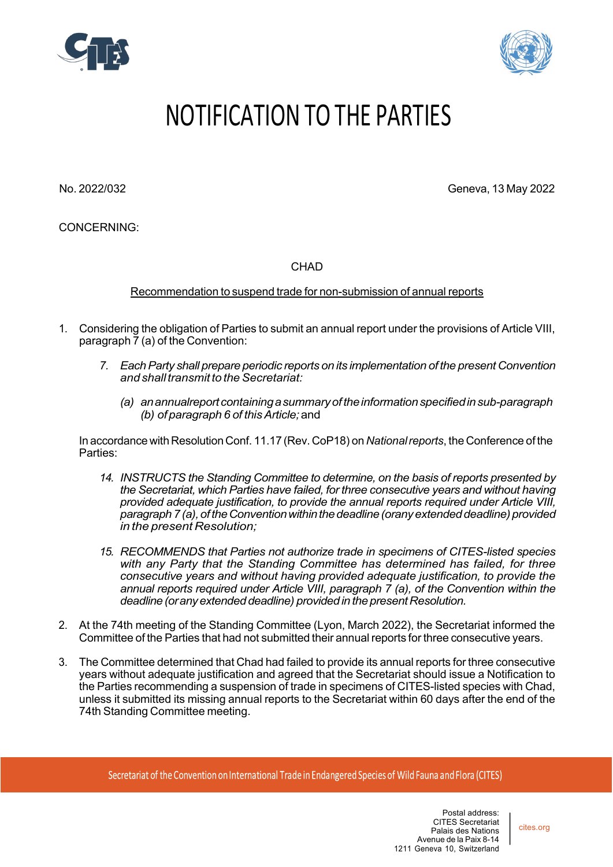



## NOTIFICATION TO THE PARTIES

No. 2022/032 Geneva, 13 May 2022

CONCERNING:

CHAD

Recommendation to suspend trade for non-submission of annual reports

- 1. Considering the obligation of Parties to submit an annual report under the provisions of Article VIII, paragraph 7 (a) of the Convention:
	- *7. EachParty shall prepare periodic reports on its implementation of the present Convention andshalltransmit to theSecretariat:*
		- *(a) anannualreportcontainingasummaryoftheinformationspecifiedinsub-paragraph (b) of paragraph 6 of thisArticle;*and

In accordance with Resolution Conf. 11.17 (Rev. CoP18) on *Nationalreports*, the Conference of the Parties:

- *14. INSTRUCTS the Standing Committee to determine, on the basis of reports presented by the Secretariat, which Parties have failed, for three consecutive years and without having provided adequate justification, to provide the annual reports required under Article VIII, paragraph 7(a),oftheConventionwithinthedeadline(oranyextendeddeadline)provided in the present Resolution;*
- *15. RECOMMENDS that Parties not authorize trade in specimens of CITES-listed species with any Party that the Standing Committee has determined has failed, for three consecutive years and without having provided adequate justification, to provide the annual reports required under Article VIII, paragraph 7 (a), of the Convention within the deadline(oranyextendeddeadline) providedin thepresentResolution.*
- 2. At the 74th meeting of the Standing Committee (Lyon, March 2022), the Secretariat informed the Committee of the Parties that had not submitted their annual reports for three consecutive years.
- 3. The Committee determined that Chad had failed to provide its annual reports for three consecutive years without adequate justification and agreed that the Secretariat should issue a Notification to the Parties recommending a suspension of trade in specimens of CITES-listed species with Chad, unless it submitted its missing annual reports to the Secretariat within 60 days after the end of the 74th Standing Committee meeting.

Secretariat of the Convention on International Trade in Endangered Species of Wild Fauna and Flora (CITES)